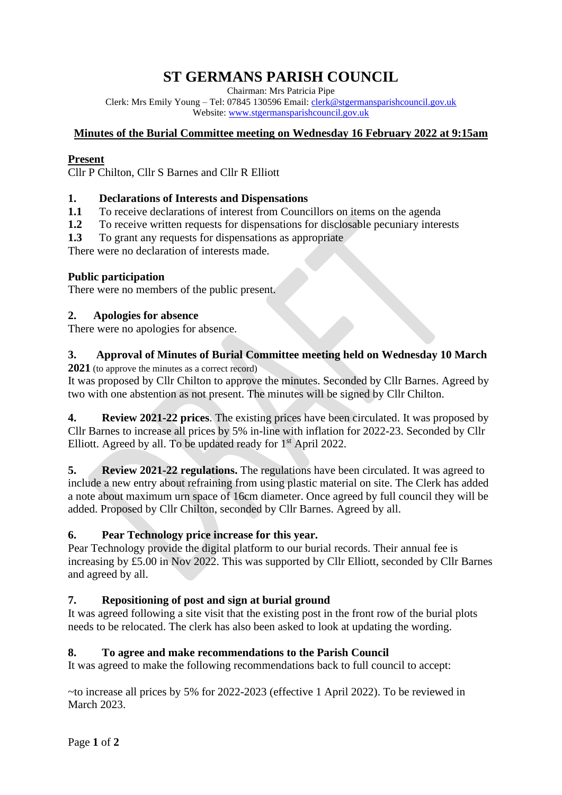# **ST GERMANS PARISH COUNCIL**

Chairman: Mrs Patricia Pipe

Clerk: Mrs Emily Young – Tel: 07845 130596 Email: [clerk@stgermansparishcouncil.gov.uk](mailto:clerk@stgermansparishcouncil.gov.uk) Website: [www.stgermansparishcouncil.gov.uk](http://www.stgermansparishcouncil.gov.uk/)

## **Minutes of the Burial Committee meeting on Wednesday 16 February 2022 at 9:15am**

## **Present**

Cllr P Chilton, Cllr S Barnes and Cllr R Elliott

## **1. Declarations of Interests and Dispensations**

- **1.1** To receive declarations of interest from Councillors on items on the agenda
- **1.2** To receive written requests for dispensations for disclosable pecuniary interests
- **1.3** To grant any requests for dispensations as appropriate

There were no declaration of interests made.

## **Public participation**

There were no members of the public present.

#### **2. Apologies for absence**

There were no apologies for absence.

# **3. Approval of Minutes of Burial Committee meeting held on Wednesday 10 March**

**2021** (to approve the minutes as a correct record)

It was proposed by Cllr Chilton to approve the minutes. Seconded by Cllr Barnes. Agreed by two with one abstention as not present. The minutes will be signed by Cllr Chilton.

**4. Review 2021-22 prices**. The existing prices have been circulated. It was proposed by Cllr Barnes to increase all prices by 5% in-line with inflation for 2022-23. Seconded by Cllr Elliott. Agreed by all. To be updated ready for  $1<sup>st</sup>$  April 2022.

**5. Review 2021-22 regulations.** The regulations have been circulated. It was agreed to include a new entry about refraining from using plastic material on site. The Clerk has added a note about maximum urn space of 16cm diameter. Once agreed by full council they will be added. Proposed by Cllr Chilton, seconded by Cllr Barnes. Agreed by all.

# **6. Pear Technology price increase for this year.**

Pear Technology provide the digital platform to our burial records. Their annual fee is increasing by £5.00 in Nov 2022. This was supported by Cllr Elliott, seconded by Cllr Barnes and agreed by all.

#### **7. Repositioning of post and sign at burial ground**

It was agreed following a site visit that the existing post in the front row of the burial plots needs to be relocated. The clerk has also been asked to look at updating the wording.

#### **8. To agree and make recommendations to the Parish Council**

It was agreed to make the following recommendations back to full council to accept:

~to increase all prices by 5% for 2022-2023 (effective 1 April 2022). To be reviewed in March 2023.